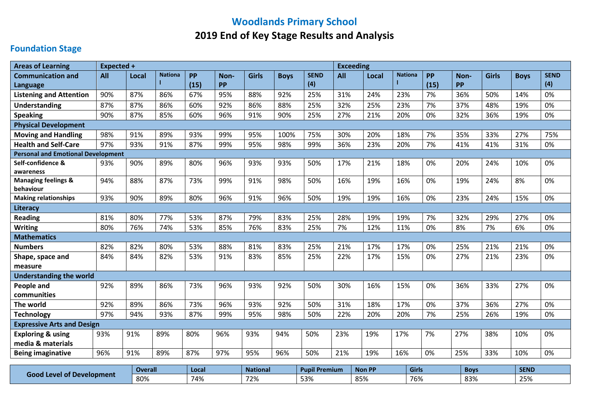# **Woodlands Primary School 2019 End of Key Stage Results and Analysis**

## **Foundation Stage**

| <b>Areas of Learning</b>                    | Expected + |              |                |           |           |              |             |             | <b>Exceeding</b> |       |                |           |           |              |             |             |
|---------------------------------------------|------------|--------------|----------------|-----------|-----------|--------------|-------------|-------------|------------------|-------|----------------|-----------|-----------|--------------|-------------|-------------|
| <b>Communication and</b>                    | All        | <b>Local</b> | <b>Nationa</b> | <b>PP</b> | Non-      | <b>Girls</b> | <b>Boys</b> | <b>SEND</b> | All              | Local | <b>Nationa</b> | <b>PP</b> | Non-      | <b>Girls</b> | <b>Boys</b> | <b>SEND</b> |
| <b>Language</b>                             |            |              |                | (15)      | <b>PP</b> |              |             | (4)         |                  |       |                | (15)      | <b>PP</b> |              |             | (4)         |
| <b>Listening and Attention</b>              | 90%        | 87%          | 86%            | 67%       | 95%       | 88%          | 92%         | 25%         | 31%              | 24%   | 23%            | 7%        | 36%       | 50%          | 14%         | 0%          |
| <b>Understanding</b>                        | 87%        | 87%          | 86%            | 60%       | 92%       | 86%          | 88%         | 25%         | 32%              | 25%   | 23%            | 7%        | 37%       | 48%          | 19%         | 0%          |
| <b>Speaking</b>                             | 90%        | 87%          | 85%            | 60%       | 96%       | 91%          | 90%         | 25%         | 27%              | 21%   | 20%            | 0%        | 32%       | 36%          | 19%         | 0%          |
| <b>Physical Development</b>                 |            |              |                |           |           |              |             |             |                  |       |                |           |           |              |             |             |
| <b>Moving and Handling</b>                  | 98%        | 91%          | 89%            | 93%       | 99%       | 95%          | 100%        | 75%         | 30%              | 20%   | 18%            | 7%        | 35%       | 33%          | 27%         | 75%         |
| <b>Health and Self-Care</b>                 | 97%        | 93%          | 91%            | 87%       | 99%       | 95%          | 98%         | 99%         | 36%              | 23%   | 20%            | 7%        | 41%       | 41%          | 31%         | 0%          |
| <b>Personal and Emotional Development</b>   |            |              |                |           |           |              |             |             |                  |       |                |           |           |              |             |             |
| Self-confidence &                           | 93%        | 90%          | 89%            | 80%       | 96%       | 93%          | 93%         | 50%         | 17%              | 21%   | 18%            | 0%        | 20%       | 24%          | 10%         | 0%          |
| awareness<br><b>Managing feelings &amp;</b> | 94%        | 88%          | 87%            | 73%       | 99%       | 91%          | 98%         | 50%         | 16%              | 19%   | 16%            | 0%        | 19%       | 24%          | 8%          | 0%          |
| behaviour                                   |            |              |                |           |           |              |             |             |                  |       |                |           |           |              |             |             |
| <b>Making relationships</b>                 | 93%        | 90%          | 89%            | 80%       | 96%       | 91%          | 96%         | 50%         | 19%              | 19%   | 16%            | 0%        | 23%       | 24%          | 15%         | 0%          |
| Literacy                                    |            |              |                |           |           |              |             |             |                  |       |                |           |           |              |             |             |
| <b>Reading</b>                              | 81%        | 80%          | 77%            | 53%       | 87%       | 79%          | 83%         | 25%         | 28%              | 19%   | 19%            | 7%        | 32%       | 29%          | 27%         | 0%          |
| <b>Writing</b>                              | 80%        | 76%          | 74%            | 53%       | 85%       | 76%          | 83%         | 25%         | 7%               | 12%   | 11%            | 0%        | 8%        | 7%           | 6%          | 0%          |
| <b>Mathematics</b>                          |            |              |                |           |           |              |             |             |                  |       |                |           |           |              |             |             |
| <b>Numbers</b>                              | 82%        | 82%          | 80%            | 53%       | 88%       | 81%          | 83%         | 25%         | 21%              | 17%   | 17%            | 0%        | 25%       | 21%          | 21%         | 0%          |
| Shape, space and                            | 84%        | 84%          | 82%            | 53%       | 91%       | 83%          | 85%         | 25%         | 22%              | 17%   | 15%            | 0%        | 27%       | 21%          | 23%         | 0%          |
| measure                                     |            |              |                |           |           |              |             |             |                  |       |                |           |           |              |             |             |
| <b>Understanding the world</b>              |            |              |                |           |           |              |             |             |                  |       |                |           |           |              |             |             |
| People and                                  | 92%        | 89%          | 86%            | 73%       | 96%       | 93%          | 92%         | 50%         | 30%              | 16%   | 15%            | 0%        | 36%       | 33%          | 27%         | 0%          |
| communities                                 |            |              |                |           |           |              |             |             |                  |       |                |           |           |              |             |             |
| The world                                   | 92%        | 89%          | 86%            | 73%       | 96%       | 93%          | 92%         | 50%         | 31%              | 18%   | 17%            | 0%        | 37%       | 36%          | 27%         | 0%          |
| <b>Technology</b>                           | 97%        | 94%          | 93%            | 87%       | 99%       | 95%          | 98%         | 50%         | 22%              | 20%   | 20%            | 7%        | 25%       | 26%          | 19%         | 0%          |
| <b>Expressive Arts and Design</b>           |            |              |                |           |           |              |             |             |                  |       |                |           |           |              |             |             |
| <b>Exploring &amp; using</b>                | 93%        | 91%          | 89%            | 80%       | 96%       | 93%          | 94%         | 50%         | 23%              | 19%   | 17%            | 7%        | 27%       | 38%          | 10%         | 0%          |
| media & materials                           |            |              |                |           |           |              |             |             |                  |       |                |           |           |              |             |             |
| <b>Being imaginative</b>                    | 96%        | 91%          | 89%            | 87%       | 97%       | 95%          | 96%         | 50%         | 21%              | 19%   | 16%            | 0%        | 25%       | 33%          | 10%         | 0%          |

|                                                       | <b>Overall</b> | <b>Local</b> | <b>National</b>        | <sup>1</sup> Premium<br><b>Pupi</b> | Non PP | Girls | Bov:         | <b>SEND</b>                      |  |
|-------------------------------------------------------|----------------|--------------|------------------------|-------------------------------------|--------|-------|--------------|----------------------------------|--|
| <b>T</b> Development<br>d Level of I<br>$100^{\circ}$ | 80%            | 74%          | 77%<br>$\sim$ / $\sim$ | $F \cap 0$<br>ココプロ                  | 85%    | 76%   | 0.20<br>0570 | $\sim$ $-$<br>. .<br><b>4970</b> |  |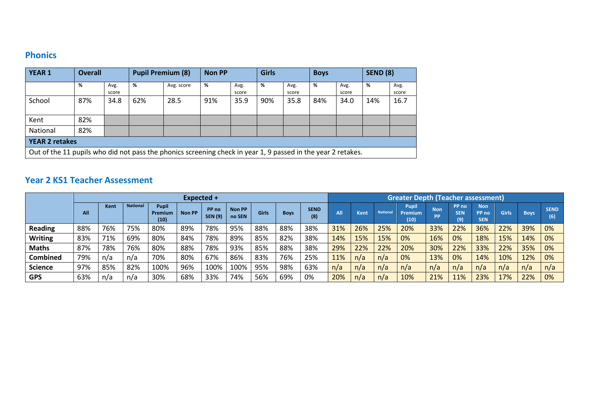### **Phonics**

| <b>YEAR 1</b>         | <b>Overall</b>                                                                                               |               | <b>Pupil Premium (8)</b> |            | <b>Non PP</b> |               | <b>Girls</b> |               | <b>Boys</b> |               | <b>SEND (8)</b> |               |  |
|-----------------------|--------------------------------------------------------------------------------------------------------------|---------------|--------------------------|------------|---------------|---------------|--------------|---------------|-------------|---------------|-----------------|---------------|--|
|                       | %                                                                                                            | Avg.<br>score | %                        | Avg. score | %             | Avg.<br>score | %            | Avg.<br>score | %           | Avg.<br>score | ℅               | Avg.<br>score |  |
| School                | 87%                                                                                                          | 34.8          | 62%                      | 28.5       | 91%           | 35.9          | 90%          | 35.8          | 84%         | 34.0          | 14%             | 16.7          |  |
| Kent                  | 82%                                                                                                          |               |                          |            |               |               |              |               |             |               |                 |               |  |
| National              | 82%                                                                                                          |               |                          |            |               |               |              |               |             |               |                 |               |  |
| <b>YEAR 2 retakes</b> |                                                                                                              |               |                          |            |               |               |              |               |             |               |                 |               |  |
|                       | Out of the 11 pupils who did not pass the phonics screening check in year 1, 9 passed in the year 2 retakes. |               |                          |            |               |               |              |               |             |               |                 |               |  |

#### **Year 2 KS1 Teacher Assessment**

|                 |     |      |                 |                         | Expected +    |                         |                  |       |             |                    | <b>Greater Depth (Teacher assessment)</b> |             |                 |                                        |                         |                            |                                   |       |             |                    |  |  |
|-----------------|-----|------|-----------------|-------------------------|---------------|-------------------------|------------------|-------|-------------|--------------------|-------------------------------------------|-------------|-----------------|----------------------------------------|-------------------------|----------------------------|-----------------------------------|-------|-------------|--------------------|--|--|
|                 | All | Kent | <b>National</b> | Pupi<br>Premium<br>(10) | <b>Non PP</b> | PP no<br><b>SEN (9)</b> | Non PP<br>no SEN | Girls | <b>Boys</b> | <b>SEND</b><br>(8) | All                                       | <b>Kent</b> | <b>National</b> | <b>Pupil</b><br><b>Premium</b><br>(10) | <b>Non</b><br><b>PP</b> | PP no<br><b>SEN</b><br>(9) | <b>Non</b><br>PP no<br><b>SEN</b> | Girls | <b>Boys</b> | <b>SEND</b><br>(6) |  |  |
| <b>Reading</b>  | 88% | 76%  | 75%             | 80%                     | 89%           | 78%                     | 95%              | 88%   | 88%         | 38%                | 31%                                       | 26%         | 25%             | 20%                                    | 33%                     | 22%                        | 36%                               | 22%   | 39%         | 0%                 |  |  |
| <b>Writing</b>  | 83% | 71%  | 69%             | 80%                     | 84%           | 78%                     | 89%              | 85%   | 82%         | 38%                | 14%                                       | 15%         | 15%             | 0%                                     | 16%                     | 0%                         | 18%                               | 15%   | 14%         | 0%                 |  |  |
| Maths           | 87% | 78%  | 76%             | 80%                     | 88%           | 78%                     | 93%              | 85%   | 88%         | 38%                | 29%                                       | 22%         | 22%             | 20%                                    | 30%                     | 22%                        | 33%                               | 22%   | 35%         | 0%                 |  |  |
| <b>Combined</b> | 79% | n/a  | n/a             | 70%                     | 80%           | 67%                     | 86%              | 83%   | 76%         | 25%                | 11%                                       | n/a         | n/a             | 0%                                     | 13%                     | 0%                         | 14%                               | 10%   | 12%         | 0%                 |  |  |
| <b>Science</b>  | 97% | 85%  | 82%             | 100%                    | 96%           | 100%                    | 100%             | 95%   | 98%         | 63%                | n/a                                       | n/a         | n/a             | n/a                                    | n/a                     | n/a                        | n/a                               | n/a   | n/a         | n/a                |  |  |
| <b>GPS</b>      | 63% | n/a  | n/a             | 30%                     | 68%           | 33%                     | 74%              | 56%   | 69%         | 0%                 | 20%                                       | n/a         | n/a             | 10%                                    | 21%                     | 11%                        | 23%                               | 17%   | 22%         | 0%                 |  |  |